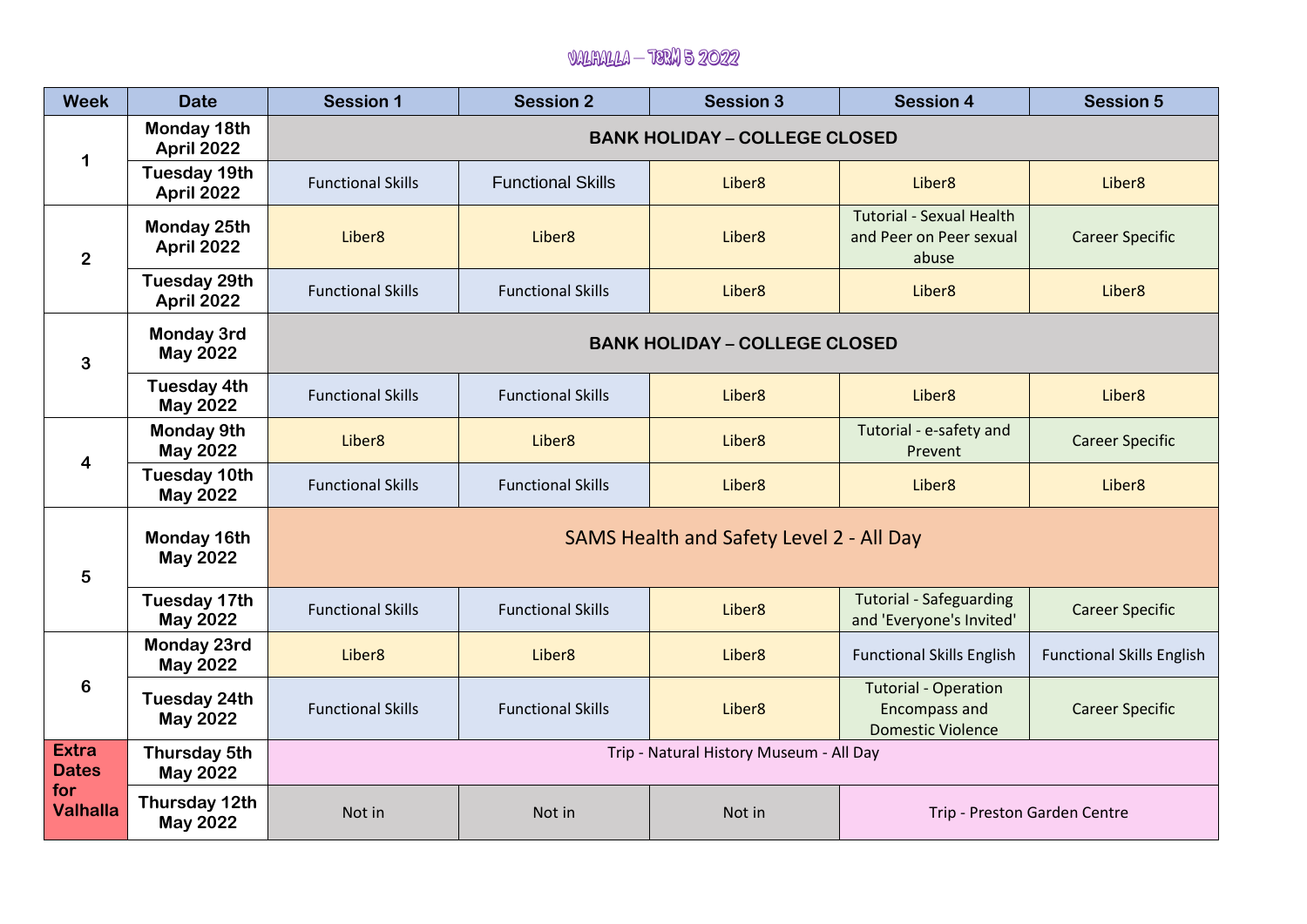## Valhalla – TERM 5 2022

| <b>Week</b>                                            | <b>Date</b>                              | <b>Session 1</b>                         | <b>Session 2</b>         | <b>Session 3</b>   | <b>Session 4</b>                                                                | <b>Session 5</b>                 |  |
|--------------------------------------------------------|------------------------------------------|------------------------------------------|--------------------------|--------------------|---------------------------------------------------------------------------------|----------------------------------|--|
| 1                                                      | Monday 18th<br>April 2022                | <b>BANK HOLIDAY - COLLEGE CLOSED</b>     |                          |                    |                                                                                 |                                  |  |
|                                                        | <b>Tuesday 19th</b><br><b>April 2022</b> | <b>Functional Skills</b>                 | <b>Functional Skills</b> | Liber <sub>8</sub> | Liber <sub>8</sub>                                                              | Liber <sub>8</sub>               |  |
| $\overline{2}$                                         | Monday 25th<br>April 2022                | Liber <sub>8</sub>                       | Liber <sub>8</sub>       | Liber <sub>8</sub> | <b>Tutorial - Sexual Health</b><br>and Peer on Peer sexual<br>abuse             | <b>Career Specific</b>           |  |
|                                                        | <b>Tuesday 29th</b><br>April 2022        | <b>Functional Skills</b>                 | <b>Functional Skills</b> | Liber <sub>8</sub> | Liber <sub>8</sub>                                                              | Liber <sub>8</sub>               |  |
| 3                                                      | <b>Monday 3rd</b><br><b>May 2022</b>     | <b>BANK HOLIDAY - COLLEGE CLOSED</b>     |                          |                    |                                                                                 |                                  |  |
|                                                        | <b>Tuesday 4th</b><br><b>May 2022</b>    | <b>Functional Skills</b>                 | <b>Functional Skills</b> | Liber <sub>8</sub> | Liber <sub>8</sub>                                                              | Liber <sub>8</sub>               |  |
| $\overline{\mathbf{4}}$                                | <b>Monday 9th</b><br><b>May 2022</b>     | Liber <sub>8</sub>                       | Liber <sub>8</sub>       | Liber <sub>8</sub> | Tutorial - e-safety and<br>Prevent                                              | <b>Career Specific</b>           |  |
|                                                        | <b>Tuesday 10th</b><br><b>May 2022</b>   | <b>Functional Skills</b>                 | <b>Functional Skills</b> | Liber <sub>8</sub> | Liber <sub>8</sub>                                                              | Liber <sub>8</sub>               |  |
| 5                                                      | Monday 16th<br><b>May 2022</b>           | SAMS Health and Safety Level 2 - All Day |                          |                    |                                                                                 |                                  |  |
|                                                        | <b>Tuesday 17th</b><br><b>May 2022</b>   | <b>Functional Skills</b>                 | <b>Functional Skills</b> | Liber <sub>8</sub> | <b>Tutorial - Safeguarding</b><br>and 'Everyone's Invited'                      | <b>Career Specific</b>           |  |
| 6                                                      | Monday 23rd<br><b>May 2022</b>           | Liber <sub>8</sub>                       | Liber <sub>8</sub>       | Liber <sub>8</sub> | <b>Functional Skills English</b>                                                | <b>Functional Skills English</b> |  |
|                                                        | <b>Tuesday 24th</b><br><b>May 2022</b>   | <b>Functional Skills</b>                 | <b>Functional Skills</b> | Liber <sub>8</sub> | <b>Tutorial - Operation</b><br><b>Encompass and</b><br><b>Domestic Violence</b> | <b>Career Specific</b>           |  |
| <b>Extra</b><br><b>Dates</b><br>for<br><b>Valhalla</b> | Thursday 5th<br><b>May 2022</b>          | Trip - Natural History Museum - All Day  |                          |                    |                                                                                 |                                  |  |
|                                                        | Thursday 12th<br><b>May 2022</b>         | Not in                                   | Not in                   | Not in             | Trip - Preston Garden Centre                                                    |                                  |  |